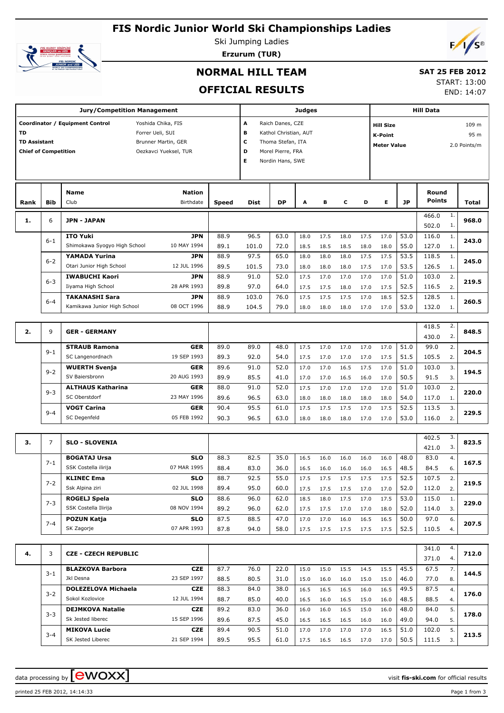## **FIS Nordic Junior World Ski Championships Ladies**



Ski Jumping Ladies **Erzurum (TUR)**



#### **NORMAL HILL TEAM**

# **SAT 25 FEB 2012**

**OFFICIAL RESULTS**

| START: 13:00 |            |
|--------------|------------|
|              | END: 14:07 |

|                                                                 |            | <b>Jury/Competition Management</b>                                        |                                              |                                                                                                                                                                                              |                |              | <b>Judges</b> |              |              |              |              |              | <b>Hill Data</b>              |          |       |  |
|-----------------------------------------------------------------|------------|---------------------------------------------------------------------------|----------------------------------------------|----------------------------------------------------------------------------------------------------------------------------------------------------------------------------------------------|----------------|--------------|---------------|--------------|--------------|--------------|--------------|--------------|-------------------------------|----------|-------|--|
| <b>TD</b><br><b>TD Assistant</b><br><b>Chief of Competition</b> |            | Coordinator / Equipment Control<br>Yoshida Chika, FIS<br>Forrer Ueli, SUI | Brunner Martin, GER<br>Oezkavci Yueksel, TUR | A<br>Raich Danes, CZE<br><b>Hill Size</b><br>в<br>Kathol Christian, AUT<br><b>K-Point</b><br>с<br>Thoma Stefan, ITA<br><b>Meter Value</b><br>D<br>Morel Pierre, FRA<br>E<br>Nordin Hans, SWE |                |              |               |              |              |              |              |              | 109 m<br>95 m<br>2.0 Points/m |          |       |  |
| Rank                                                            | <b>Bib</b> | Name<br>Club                                                              | Nation<br>Birthdate                          | Speed                                                                                                                                                                                        | Dist           | DP           | A             | в            | c            | D            | Е            | <b>JP</b>    | Round<br><b>Points</b>        |          | Total |  |
| 1.                                                              | 6          | <b>JPN - JAPAN</b>                                                        |                                              |                                                                                                                                                                                              |                |              |               |              |              |              |              |              | 466.0<br>502.0                | 1.<br>1. | 968.0 |  |
|                                                                 | $6 - 1$    | <b>ITO Yuki</b><br>Shimokawa Syogyo High School                           | <b>JPN</b><br>10 MAY 1994                    | 88.9<br>89.1                                                                                                                                                                                 | 96.5<br>101.0  | 63.0<br>72.0 | 18.0<br>18.5  | 17.5<br>18.5 | 18.0<br>18.5 | 17.5<br>18.0 | 17.0<br>18.0 | 53.0<br>55.0 | 116.0<br>127.0                | 1.<br>1. | 243.0 |  |
|                                                                 | $6 - 2$    | YAMADA Yurina<br>Otari Junior High School                                 | <b>JPN</b><br>12 JUL 1996                    | 88.9<br>89.5                                                                                                                                                                                 | 97.5<br>101.5  | 65.0<br>73.0 | 18.0<br>18.0  | 18.0<br>18.0 | 18.0<br>18.0 | 17.5<br>17.5 | 17.5<br>17.0 | 53.5<br>53.5 | 118.5<br>126.5                | 1.<br>1. | 245.0 |  |
|                                                                 | $6 - 3$    | <b>IWABUCHI Kaori</b><br>Iiyama High School                               | JPN<br>28 APR 1993                           | 88.9<br>89.8                                                                                                                                                                                 | 91.0<br>97.0   | 52.0<br>64.0 | 17.5<br>17.5  | 17.0<br>17.5 | 17.0<br>18.0 | 17.0<br>17.0 | 17.0<br>17.5 | 51.0<br>52.5 | 103.0<br>116.5                | 2.<br>2. | 219.5 |  |
|                                                                 | $6 - 4$    | <b>TAKANASHI Sara</b><br>Kamikawa Junior High School                      | JPN<br>08 OCT 1996                           | 88.9<br>88.9                                                                                                                                                                                 | 103.0<br>104.5 | 76.0<br>79.0 | 17.5<br>18.0  | 17.5<br>18.0 | 17.5<br>18.0 | 17.0<br>17.0 | 18.5<br>17.0 | 52.5<br>53.0 | 128.5<br>132.0                | 1.<br>1. | 260.5 |  |
|                                                                 |            |                                                                           |                                              |                                                                                                                                                                                              |                |              |               |              |              |              |              |              | 418.5                         | 2.       |       |  |
| 2.                                                              | 9          | <b>GER - GERMANY</b><br><b>STRAUB Ramona</b>                              | <b>GER</b>                                   | 89.0                                                                                                                                                                                         | 89.0           | 48.0         | 17.5          | 17.0         | 17.0         | 17.0         | 17.0         | 51.0         | 430.0<br>99.0                 | 2.<br>2. | 848.5 |  |
|                                                                 | $9 - 1$    | SC Langenordnach<br><b>WUERTH Svenja</b>                                  | 19 SEP 1993<br><b>GER</b>                    | 89.3<br>89.6                                                                                                                                                                                 | 92.0<br>91.0   | 54.0<br>52.0 | 17.5<br>17.0  | 17.0<br>17.0 | 17.0<br>16.5 | 17.0<br>17.5 | 17.5<br>17.0 | 51.5<br>51.0 | 105.5<br>103.0                | 2.<br>3. | 204.5 |  |
|                                                                 | $9 - 2$    | SV Baiersbronn<br><b>ALTHAUS Katharina</b>                                | 20 AUG 1993<br><b>GER</b>                    | 89.9<br>88.0                                                                                                                                                                                 | 85.5<br>91.0   | 41.0<br>52.0 | 17.0<br>17.5  | 17.0<br>17.0 | 16.5<br>17.0 | 16.0<br>17.0 | 17.0<br>17.0 | 50.5<br>51.0 | 91.5<br>103.0                 | 3.<br>2. | 194.5 |  |
|                                                                 | $9 - 3$    | SC Oberstdorf<br><b>VOGT Carina</b>                                       | 23 MAY 1996<br><b>GER</b>                    | 89.6<br>90.4                                                                                                                                                                                 | 96.5<br>95.5   | 63.0<br>61.0 | 18.0<br>17.5  | 18.0<br>17.5 | 18.0<br>17.5 | 18.0<br>17.0 | 18.0<br>17.5 | 54.0<br>52.5 | 117.0<br>113.5                | 1.<br>3. | 220.0 |  |
|                                                                 | $9 - 4$    | SC Degenfeld                                                              | 05 FEB 1992                                  | 90.3                                                                                                                                                                                         | 96.5           | 63.0         | 18.0          | 18.0         | 18.0         | 17.0         | 17.0         | 53.0         | 116.0                         | 2.       | 229.5 |  |
| з.                                                              | 7          | <b>SLO - SLOVENIA</b>                                                     |                                              |                                                                                                                                                                                              |                |              |               |              |              |              |              |              | 402.5<br>421.0                | 3.<br>3. | 823.5 |  |
|                                                                 | $7 - 1$    | <b>BOGATAJ Ursa</b><br>SSK Costella ilirija                               | <b>SLO</b><br>07 MAR 1995                    | 88.3<br>88.4                                                                                                                                                                                 | 82.5<br>83.0   | 35.0<br>36.0 | 16.5<br>16.5  | 16.0<br>16.0 | 16.0<br>16.0 | 16.0<br>16.0 | 16.0<br>16.5 | 48.0<br>48.5 | 83.0<br>84.5                  | 4.<br>6. | 167.5 |  |
|                                                                 | $7 - 2$    | KLINEC Ema<br>Ssk Alpina ziri                                             | SLO<br>02 JUL 1998                           | 88.7<br>89.4                                                                                                                                                                                 | 92.5<br>95.0   | 55.0<br>60.0 | 17.5<br>17.5  | 17.5<br>17.5 | 17.5<br>17.5 | 17.5<br>17.0 | 17.5<br>17.0 | 52.5<br>52.0 | 107.5<br>112.0                | 2.<br>2. | 219.5 |  |
|                                                                 | $7 - 3$    | ROGELJ Spela<br>SSK Costella Ilirija                                      | <b>SLO</b><br>08 NOV 1994                    | 88.6<br>89.2                                                                                                                                                                                 | 96.0<br>96.0   | 62.0<br>62.0 | 18.5<br>17.5  | 18.0<br>17.5 | 17.5<br>17.0 | 17.0<br>17.0 | 17.5<br>18.0 | 53.0<br>52.0 | 115.0<br>114.0                | 1.<br>3. | 229.0 |  |
|                                                                 | $7 - 4$    | <b>POZUN Katja</b><br>SK Zagorje                                          | SLO<br>07 APR 1993                           | 87.5<br>87.8                                                                                                                                                                                 | 88.5<br>94.0   | 47.0<br>58.0 | 17.0<br>17.5  | 17.0<br>17.5 | 16.0<br>17.5 | 16.5<br>17.5 | 16.5<br>17.5 | 50.0<br>52.5 | 97.0<br>110.5                 | 6.<br>4. | 207.5 |  |
| 4.                                                              | 3          | <b>CZE - CZECH REPUBLIC</b>                                               |                                              |                                                                                                                                                                                              |                |              |               |              |              |              |              |              | 341.0<br>371.0                | 4.<br>4. | 712.0 |  |
|                                                                 | $3 - 1$    | <b>BLAZKOVA Barbora</b><br>Jkl Desna                                      | <b>CZE</b><br>23 SEP 1997                    | 87.7<br>88.5                                                                                                                                                                                 | 76.0<br>80.5   | 22.0<br>31.0 | 15.0<br>15.0  | 15.0<br>16.0 | 15.5<br>16.0 | 14.5<br>15.0 | 15.5<br>15.0 | 45.5<br>46.0 | 67.5<br>77.0                  | 7.<br>8. | 144.5 |  |
|                                                                 | $3 - 2$    | <b>DOLEZELOVA Michaela</b><br>Sokol Kozlovice                             | <b>CZE</b><br>12 JUL 1994                    | 88.3<br>88.7                                                                                                                                                                                 | 84.0<br>85.0   | 38.0<br>40.0 | 16.5<br>16.5  | 16.5<br>16.0 | 16.5<br>16.5 | 16.0<br>15.0 | 16.5<br>16.0 | 49.5<br>48.5 | 87.5<br>88.5                  | 4.<br>4. | 176.0 |  |
|                                                                 | $3 - 3$    | <b>DEJMKOVA Natalie</b><br>Sk Jested liberec                              | <b>CZE</b><br>15 SEP 1996                    | 89.2<br>89.6                                                                                                                                                                                 | 83.0<br>87.5   | 36.0<br>45.0 | 16.0<br>16.5  | 16.0<br>16.5 | 16.5<br>16.5 | 15.0<br>16.0 | 16.0<br>16.0 | 48.0<br>49.0 | 84.0<br>94.0                  | 5.<br>5. | 178.0 |  |
|                                                                 | $3 - 4$    | <b>MIKOVA Lucie</b><br>SK Jested Liberec                                  | <b>CZE</b><br>21 SEP 1994                    | 89.4<br>89.5                                                                                                                                                                                 | 90.5<br>95.5   | 51.0<br>61.0 | 17.0<br>17.5  | 17.0<br>16.5 | 17.0<br>16.5 | 17.0<br>17.0 | 16.5<br>17.0 | 51.0<br>50.5 | 102.0<br>111.5                | 5.<br>3. | 213.5 |  |
|                                                                 |            |                                                                           |                                              |                                                                                                                                                                                              |                |              |               |              |              |              |              |              |                               |          |       |  |

data processing by **CWOXX**  $\blacksquare$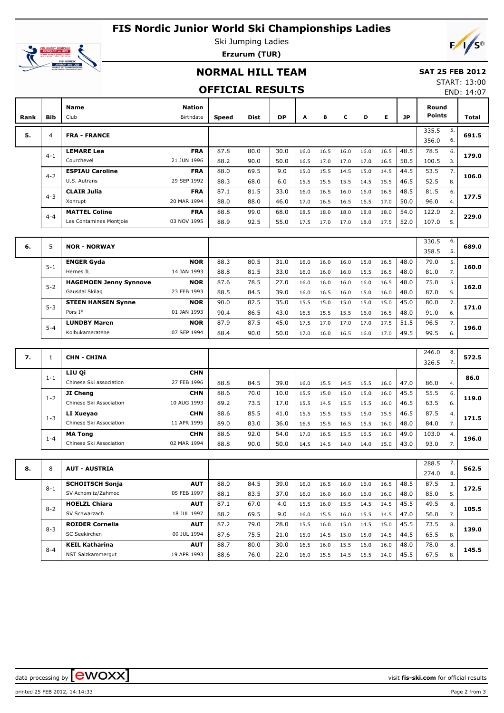## **FIS Nordic Junior World Ski Championships Ladies**



Ski Jumping Ladies **Erzurum (TUR)**

### **NORMAL HILL TEAM**

#### **SAT 25 FEB 2012** START: 13:00

#### **OFFICIAL RESULTS**

END: 14:07

| Rank | <b>Bib</b> | Name<br>Club                                                                 | <b>Nation</b><br>Birthdate | <b>Speed</b> | <b>Dist</b>  | <b>DP</b>    | A            | в            | C            | D            | Е            | JP           | Round<br><b>Points</b> |          | Total |
|------|------------|------------------------------------------------------------------------------|----------------------------|--------------|--------------|--------------|--------------|--------------|--------------|--------------|--------------|--------------|------------------------|----------|-------|
| 5.   | 4          | <b>FRA - FRANCE</b>                                                          |                            |              |              |              |              |              |              |              |              |              | 335.5<br>356.0         | 5.<br>6. | 691.5 |
|      | $4 - 1$    | <b>LEMARE Lea</b><br>Courchevel                                              | <b>FRA</b><br>21 JUN 1996  | 87.8<br>88.2 | 80.0<br>90.0 | 30.0<br>50.0 | 16.0<br>16.5 | 16.5<br>17.0 | 16.0<br>17.0 | 16.0<br>17.0 | 16.5<br>16.5 | 48.5<br>50.5 | 78.5<br>100.5          | 6.<br>3. | 179.0 |
|      | $4 - 2$    | <b>ESPIAU Caroline</b><br>U.S. Autrans                                       | <b>FRA</b><br>29 SEP 1992  | 88.0<br>88.3 | 69.5<br>68.0 | 9.0<br>6.0   | 15.0<br>15.5 | 15.5<br>15.5 | 14.5<br>15.5 | 15.0<br>14.5 | 14.5<br>15.5 | 44.5<br>46.5 | 53.5<br>52.5           | 7.<br>8. | 106.0 |
|      | $4 - 3$    | <b>CLAIR Julia</b><br>Xonrupt                                                | <b>FRA</b><br>20 MAR 1994  | 87.1<br>88.0 | 81.5<br>88.0 | 33.0<br>46.0 | 16.0<br>17.0 | 16.5<br>16.5 | 16.0<br>16.5 | 16.0<br>16.5 | 16.5<br>17.0 | 48.5<br>50.0 | 81.5<br>96.0           | 6.<br>4. | 177.5 |
|      | $4 - 4$    | <b>FRA</b><br><b>MATTEL Coline</b><br>03 NOV 1995<br>Les Contamines Montjoie |                            | 88.8<br>88.9 | 99.0<br>92.5 | 68.0<br>55.0 | 18.5<br>17.5 | 18.0<br>17.0 | 18.0<br>17.0 | 18.0<br>18.0 | 18.0<br>17.5 | 54.0<br>52.0 | 122.0<br>107.0         | 2.<br>5. | 229.0 |

| 6. | 5       | <b>NOR - NORWAY</b>           |             |      |      |      |      |      |      |      |      |      | 330.5<br>358.5 | 6.<br>5. | 689.0 |
|----|---------|-------------------------------|-------------|------|------|------|------|------|------|------|------|------|----------------|----------|-------|
|    | $5 - 1$ | <b>ENGER Gyda</b>             | <b>NOR</b>  | 88.3 | 80.5 | 31.0 | 16.0 | 16.0 | 16.0 | 15.0 | 16.5 | 48.0 | 79.0           | 5.       | 160.0 |
|    |         | Hernes IL                     | 14 JAN 1993 | 88.8 | 81.5 | 33.0 | 16.0 | 16.0 | 16.0 | 15.5 | 16.5 | 48.0 | 81.0           |          |       |
|    |         | <b>HAGEMOEN Jenny Synnove</b> | <b>NOR</b>  | 87.6 | 78.5 | 27.0 | 16.0 | 16.0 | 16.0 | 16.0 | 16.5 | 48.0 | 75.0           | 5.       |       |
|    | $5 - 2$ | Gausdal Skilag                | 23 FEB 1993 | 88.5 | 84.5 | 39.0 | 16.0 | 16.5 | 16.0 | 15.0 | 16.0 | 48.0 | 87.0           |          | 162.0 |
|    | $5 - 3$ | <b>STEEN HANSEN Synne</b>     | <b>NOR</b>  | 90.0 | 82.5 | 35.0 | 15.5 | 15.0 | 15.0 | 15.0 | 15.0 | 45.0 | 80.0           | 7.       | 171.0 |
|    |         | Pors IF                       | 01 JAN 1993 | 90.4 | 86.5 | 43.0 | 16.5 | 15.5 | 15.5 | 16.0 | 16.5 | 48.0 | 91.0           | 6.       |       |
|    |         | <b>LUNDBY Maren</b>           | <b>NOR</b>  | 87.9 | 87.5 | 45.0 | 17.5 | 17.0 | 17.0 | 17.0 | 17.5 | 51.5 | 96.5           | 7.       | 196.0 |
|    | $5 - 4$ | Kolbukameratene               | 07 SEP 1994 | 88.4 | 90.0 | 50.0 | 17.0 | 16.0 | 16.5 | 16.0 | 17.0 | 49.5 | 99.5           | 6.       |       |

| 7. |         | <b>CHN - CHINA</b>      |             |      |      |      |      |      |      |      |      |      | 246.0<br>326.5 | 8.<br>$\prime$ . | 572.5 |
|----|---------|-------------------------|-------------|------|------|------|------|------|------|------|------|------|----------------|------------------|-------|
|    | $1 - 1$ | LIU Qi                  | <b>CHN</b>  |      |      |      |      |      |      |      |      |      |                |                  | 86.0  |
|    |         | Chinese Ski association | 27 FEB 1996 | 88.8 | 84.5 | 39.0 | 16.0 | 15.5 | 14.5 | 15.5 | 16.0 | 47.0 | 86.0           | 4.               |       |
|    |         | JI Cheng                | <b>CHN</b>  | 88.6 | 70.0 | 10.0 | 15.5 | 15.0 | 15.0 | 15.0 | 16.0 | 45.5 | 55.5           | 6.               | 119.0 |
|    | $1 - 2$ | Chinese Ski Association | 10 AUG 1993 | 89.2 | 73.5 | 17.0 | 15.5 | 14.5 | 15.5 | 15.5 | 16.0 | 46.5 | 63.5           | 6.               |       |
|    | $1 - 3$ | LI Xueyao               | <b>CHN</b>  | 88.6 | 85.5 | 41.0 | 15.5 | 15.5 | 15.5 | 15.0 | 15.5 | 46.5 | 87.5           | 4.               | 171.5 |
|    |         | Chinese Ski Association | 11 APR 1995 | 89.0 | 83.0 | 36.0 | 16.5 | 15.5 | 16.5 | 15.5 | 16.0 | 48.0 | 84.0           | 7.               |       |
|    |         | <b>MA Tong</b>          | <b>CHN</b>  | 88.6 | 92.0 | 54.0 | 17.0 | 16.5 | 15.5 | 16.5 | 16.0 | 49.0 | 103.0          | 4.               | 196.0 |
|    | $1 - 4$ | Chinese Ski Association | 02 MAR 1994 | 88.8 | 90.0 | 50.0 | 14.5 | 14.5 | 14.0 | 14.0 | 15.0 | 43.0 | 93.0           |                  |       |

|    |         |                        |             |      |      |      |      |      |      |      |      |      | 288.5 |    |       |
|----|---------|------------------------|-------------|------|------|------|------|------|------|------|------|------|-------|----|-------|
| 8. | 8       | <b>AUT - AUSTRIA</b>   |             |      |      |      |      |      |      |      |      |      | 274.0 | 8. | 562.5 |
|    | $8 - 1$ | <b>SCHOITSCH Sonja</b> | <b>AUT</b>  | 88.0 | 84.5 | 39.0 | 16.0 | 16.5 | 16.0 | 16.0 | 16.5 | 48.5 | 87.5  | 3. | 172.5 |
|    |         | SV Achomitz/Zahmoc     | 05 FEB 1997 | 88.1 | 83.5 | 37.0 | 16.0 | 16.0 | 16.0 | 16.0 | 16.0 | 48.0 | 85.0  | 5. |       |
|    |         | <b>HOELZL Chiara</b>   | <b>AUT</b>  | 87.1 | 67.0 | 4.0  | 15.5 | 16.0 | 15.5 | 14.5 | 14.5 | 45.5 | 49.5  | 8. | 105.5 |
|    | $8 - 2$ | SV Schwarzach          | 18 JUL 1997 | 88.2 | 69.5 | 9.0  | 16.0 | 15.5 | 16.0 | 15.5 | 14.5 | 47.0 | 56.0  | 7. |       |
|    | $8 - 3$ | <b>ROIDER Cornelia</b> | <b>AUT</b>  | 87.2 | 79.0 | 28.0 | 15.5 | 16.0 | 15.0 | 14.5 | 15.0 | 45.5 | 73.5  | 8. | 139.0 |
|    |         | SC Seekirchen          | 09 JUL 1994 | 87.6 | 75.5 | 21.0 | 15.0 | 14.5 | 15.0 | 15.0 | 14.5 | 44.5 | 65.5  | 8. |       |
|    | $8 - 4$ | <b>KEIL Katharina</b>  | <b>AUT</b>  | 88.7 | 80.0 | 30.0 | 16.5 | 16.0 | 15.5 | 16.0 | 16.0 | 48.0 | 78.0  | 8. | 145.5 |
|    |         | NST Salzkammergut      | 19 APR 1993 | 88.6 | 76.0 | 22.0 | 16.0 | 15.5 | 14.5 | 15.5 | 14.0 | 45.5 | 67.5  | 8. |       |

data processing by **CWOXX**  $\blacksquare$ 

printed 25 FEB 2012, 14:14:33 Page 2 from 3